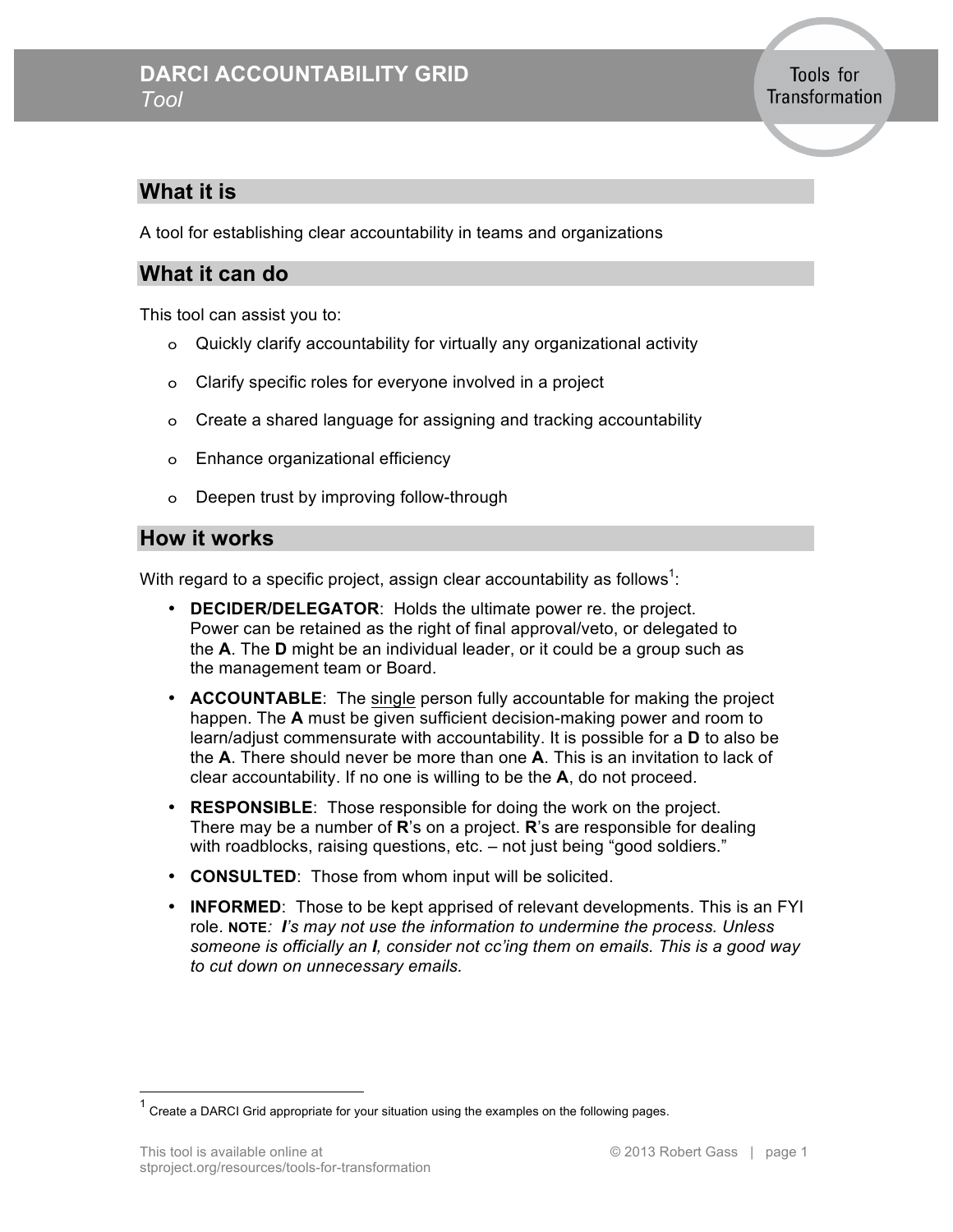### **What it is**

A tool for establishing clear accountability in teams and organizations

#### **What it can do**

This tool can assist you to:

- o Quickly clarify accountability for virtually any organizational activity
- o Clarify specific roles for everyone involved in a project
- o Create a shared language for assigning and tracking accountability
- o Enhance organizational efficiency
- o Deepen trust by improving follow-through

#### **How it works**

With regard to a specific project, assign clear accountability as follows<sup>1</sup>:

- **DECIDER/DELEGATOR**: Holds the ultimate power re. the project. Power can be retained as the right of final approval/veto, or delegated to the **A**. The **D** might be an individual leader, or it could be a group such as the management team or Board.
- **ACCOUNTABLE**: The single person fully accountable for making the project happen. The **A** must be given sufficient decision-making power and room to learn/adjust commensurate with accountability. It is possible for a **D** to also be the **A**. There should never be more than one **A**. This is an invitation to lack of clear accountability. If no one is willing to be the **A**, do not proceed.
- **RESPONSIBLE**: Those responsible for doing the work on the project. There may be a number of **R**'s on a project. **R**'s are responsible for dealing with roadblocks, raising questions, etc. - not just being "good soldiers."
- **CONSULTED**: Those from whom input will be solicited.
- **INFORMED**: Those to be kept apprised of relevant developments. This is an FYI role. **NOTE***: I's may not use the information to undermine the process. Unless someone is officially an I, consider not cc'ing them on emails. This is a good way to cut down on unnecessary emails.*

 $1$  Create a DARCI Grid appropriate for your situation using the examples on the following pages.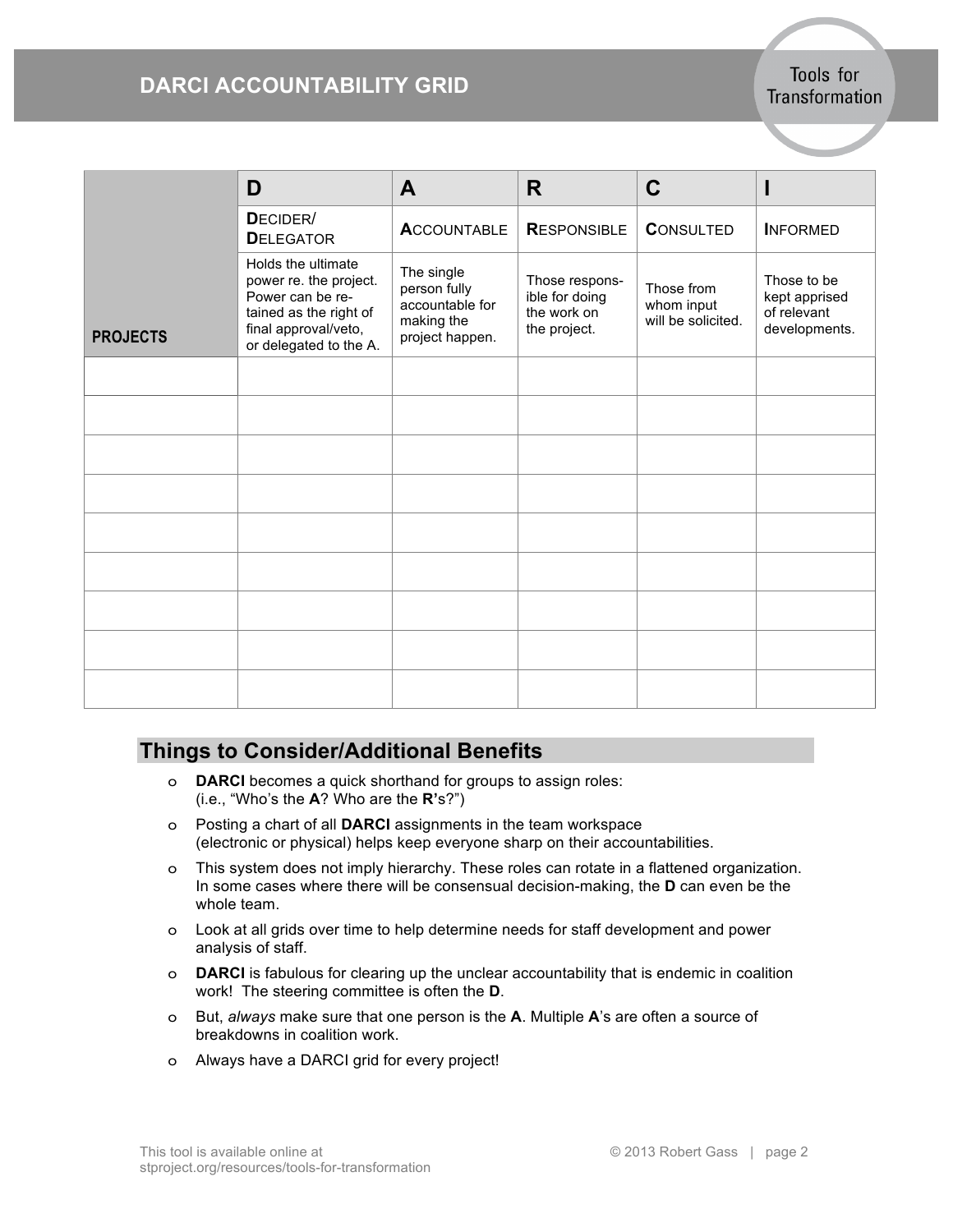## **DARCI ACCOUNTABILITY GRID**

Tools for Transformation

|                 | D                                                                                                                                            | A                                                                              | R                                                               | C                                              |                                                              |
|-----------------|----------------------------------------------------------------------------------------------------------------------------------------------|--------------------------------------------------------------------------------|-----------------------------------------------------------------|------------------------------------------------|--------------------------------------------------------------|
|                 | DECIDER/<br><b>DELEGATOR</b>                                                                                                                 | <b>ACCOUNTABLE</b>                                                             | <b>RESPONSIBLE</b>                                              | <b>CONSULTED</b>                               | <b>INFORMED</b>                                              |
| <b>PROJECTS</b> | Holds the ultimate<br>power re. the project.<br>Power can be re-<br>tained as the right of<br>final approval/veto,<br>or delegated to the A. | The single<br>person fully<br>accountable for<br>making the<br>project happen. | Those respons-<br>ible for doing<br>the work on<br>the project. | Those from<br>whom input<br>will be solicited. | Those to be<br>kept apprised<br>of relevant<br>developments. |
|                 |                                                                                                                                              |                                                                                |                                                                 |                                                |                                                              |
|                 |                                                                                                                                              |                                                                                |                                                                 |                                                |                                                              |
|                 |                                                                                                                                              |                                                                                |                                                                 |                                                |                                                              |
|                 |                                                                                                                                              |                                                                                |                                                                 |                                                |                                                              |
|                 |                                                                                                                                              |                                                                                |                                                                 |                                                |                                                              |
|                 |                                                                                                                                              |                                                                                |                                                                 |                                                |                                                              |
|                 |                                                                                                                                              |                                                                                |                                                                 |                                                |                                                              |
|                 |                                                                                                                                              |                                                                                |                                                                 |                                                |                                                              |
|                 |                                                                                                                                              |                                                                                |                                                                 |                                                |                                                              |

### **Things to Consider/Additional Benefits**

- o **DARCI** becomes a quick shorthand for groups to assign roles: (i.e., "Who's the **A**? Who are the **R'**s?")
- o Posting a chart of all **DARCI** assignments in the team workspace (electronic or physical) helps keep everyone sharp on their accountabilities.
- o This system does not imply hierarchy. These roles can rotate in a flattened organization. In some cases where there will be consensual decision-making, the **D** can even be the whole team.
- o Look at all grids over time to help determine needs for staff development and power analysis of staff.
- o **DARCI** is fabulous for clearing up the unclear accountability that is endemic in coalition work! The steering committee is often the **D**.
- o But, *always* make sure that one person is the **A**. Multiple **A**'s are often a source of breakdowns in coalition work.
- o Always have a DARCI grid for every project!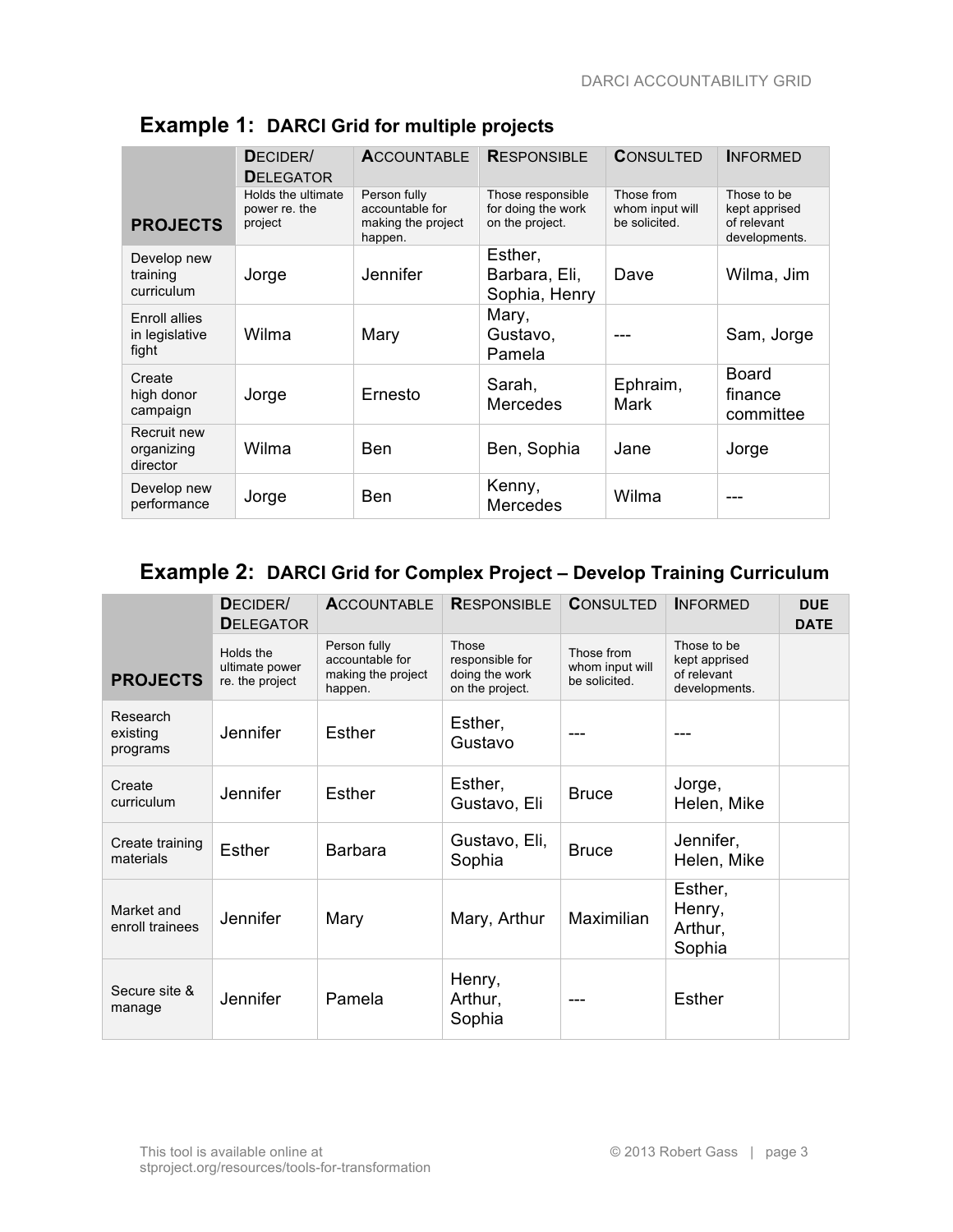|                                          | DECIDER/<br><b>DELEGATOR</b>                   | <b>ACCOUNTABLE</b>                                               | <b>RESPONSIBLE</b>                                         | <b>CONSULTED</b>                               | <b>INFORMED</b>                                              |
|------------------------------------------|------------------------------------------------|------------------------------------------------------------------|------------------------------------------------------------|------------------------------------------------|--------------------------------------------------------------|
| <b>PROJECTS</b>                          | Holds the ultimate<br>power re. the<br>project | Person fully<br>accountable for<br>making the project<br>happen. | Those responsible<br>for doing the work<br>on the project. | Those from<br>whom input will<br>be solicited. | Those to be<br>kept apprised<br>of relevant<br>developments. |
| Develop new<br>training<br>curriculum    | Jorge                                          | Jennifer                                                         | Esther,<br>Barbara, Eli,<br>Sophia, Henry                  | Dave                                           | Wilma, Jim                                                   |
| Enroll allies<br>in legislative<br>fight | Wilma                                          | Mary                                                             | Mary,<br>Gustavo,<br>Pamela                                |                                                | Sam, Jorge                                                   |
| Create<br>high donor<br>campaign         | Jorge                                          | Ernesto                                                          | Sarah,<br><b>Mercedes</b>                                  | Ephraim,<br>Mark                               | Board<br>finance<br>committee                                |
| Recruit new<br>organizing<br>director    | Wilma                                          | <b>Ben</b>                                                       | Ben, Sophia                                                | Jane                                           | Jorge                                                        |
| Develop new<br>performance               | Jorge                                          | <b>Ben</b>                                                       | Kenny,<br><b>Mercedes</b>                                  | Wilma                                          |                                                              |

## **Example 1: DARCI Grid for multiple projects**

#### **Example 2: DARCI Grid for Complex Project – Develop Training Curriculum**

|                                  | DECIDER/<br><b>DELEGATOR</b>                   | <b>ACCOUNTABLE</b>                                               | <b>RESPONSIBLE</b>                                            | <b>CONSULTED</b>                               | <b>INFORMED</b>                                              | <b>DUE</b><br><b>DATE</b> |
|----------------------------------|------------------------------------------------|------------------------------------------------------------------|---------------------------------------------------------------|------------------------------------------------|--------------------------------------------------------------|---------------------------|
| <b>PROJECTS</b>                  | Holds the<br>ultimate power<br>re. the project | Person fully<br>accountable for<br>making the project<br>happen. | Those<br>responsible for<br>doing the work<br>on the project. | Those from<br>whom input will<br>be solicited. | Those to be<br>kept apprised<br>of relevant<br>developments. |                           |
| Research<br>existing<br>programs | <b>Jennifer</b>                                | <b>Esther</b>                                                    | Esther,<br>Gustavo                                            | ---                                            | ---                                                          |                           |
| Create<br>curriculum             | Jennifer                                       | <b>Esther</b>                                                    | Esther,<br>Gustavo, Eli                                       | <b>Bruce</b>                                   | Jorge,<br>Helen, Mike                                        |                           |
| Create training<br>materials     | <b>Esther</b>                                  | <b>Barbara</b>                                                   | Gustavo, Eli,<br>Sophia                                       | <b>Bruce</b>                                   | Jennifer,<br>Helen, Mike                                     |                           |
| Market and<br>enroll trainees    | <b>Jennifer</b>                                | Mary                                                             | Mary, Arthur                                                  | Maximilian                                     | Esther,<br>Henry,<br>Arthur,<br>Sophia                       |                           |
| Secure site &<br>manage          | <b>Jennifer</b>                                | Pamela                                                           | Henry,<br>Arthur,<br>Sophia                                   |                                                | <b>Esther</b>                                                |                           |